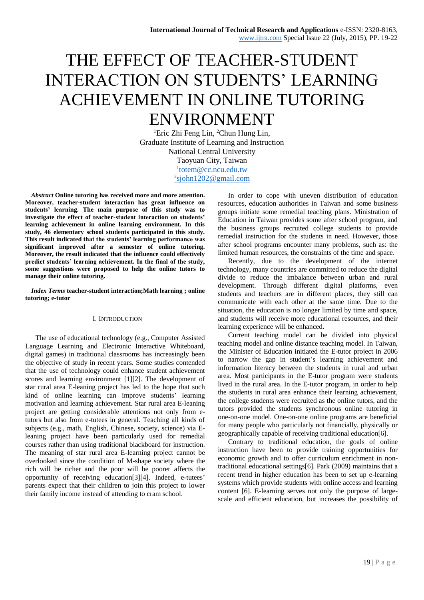# THE EFFECT OF TEACHER-STUDENT INTERACTION ON STUDENTS' LEARNING ACHIEVEMENT IN ONLINE TUTORING ENVIRONMENT

<sup>1</sup>Eric Zhi Feng Lin, <sup>2</sup>Chun Hung Lin, Graduate Institute of Learning and Instruction National Central University Taoyuan City, Taiwan l[totem@cc.ncu.edu.tw](mailto:1totem@cc.ncu.edu.tw) <sup>2</sup>[sjohn1202@gmail.com](mailto:2sjohn1202@gmail.com)

*Abstract* **Online tutoring has received more and more attention. Moreover, teacher-student interaction has great influence on students' learning. The main purpose of this study was to investigate the effect of teacher-student interaction on students' learning achievement in online learning environment. In this study, 46 elementary school students participated in this study. This result indicated that the students' learning performance was significant improved after a semester of online tutoring. Moreover, the result indicated that the influence could effectively predict students' learning achievement. In the final of the study, some suggestions were proposed to help the online tutors to manage their online tutoring.**

*Index Terms* **teacher-student interaction;Math learning ; online tutoring; e-tutor** 

## I. INTRODUCTION

The use of educational technology (e.g., Computer Assisted Language Learning and Electronic Interactive Whiteboard, digital games) in traditional classrooms has increasingly been the objective of study in recent years. Some studies contended that the use of technology could enhance student achievement scores and learning environment [1][2]. The development of star rural area E-leaning project has led to the hope that such kind of online learning can improve students' learning motivation and learning achievement. Star rural area E-leaning project are getting considerable attentions not only from etutors but also from e-tutees in general. Teaching all kinds of subjects (e.g., math, English, Chinese, society, science) via Eleaning project have been particularly used for remedial courses rather than using traditional blackboard for instruction. The meaning of star rural area E-learning project cannot be overlooked since the condition of M-shape society where the rich will be richer and the poor will be poorer affects the opportunity of receiving education[3][4]. Indeed, e-tutees' parents expect that their children to join this project to lower their family income instead of attending to cram school.

In order to cope with uneven distribution of education resources, education authorities in Taiwan and some business groups initiate some remedial teaching plans. Ministration of Education in Taiwan provides some after school program, and the business groups recruited college students to provide remedial instruction for the students in need. However, those after school programs encounter many problems, such as: the limited human resources, the constraints of the time and space.

Recently, due to the development of the internet technology, many countries are committed to reduce the digital divide to reduce the imbalance between urban and rural development. Through different digital platforms, even students and teachers are in different places, they still can communicate with each other at the same time. Due to the situation, the education is no longer limited by time and space, and students will receive more educational resources, and their learning experience will be enhanced.

Current teaching model can be divided into physical teaching model and online distance teaching model. In Taiwan, the Minister of Education initiated the E-tutor project in 2006 to narrow the gap in student's learning achievement and information literacy between the students in rural and urban area. Most participants in the E-tutor program were students lived in the rural area. In the E-tutor program, in order to help the students in rural area enhance their learning achievement, the college students were recruited as the online tutors, and the tutors provided the students synchronous online tutoring in one-on-one model. One-on-one online programs are beneficial for many people who particularly not financially, physically or geographically capable of receiving traditional education[6].

Contrary to traditional education, the goals of online instruction have been to provide training opportunities for economic growth and to offer curriculum enrichment in nontraditional educational settings[6]. Park (2009) maintains that a recent trend in higher education has been to set up e-learning systems which provide students with online access and learning content [6]. E-learning serves not only the purpose of largescale and efficient education, but increases the possibility of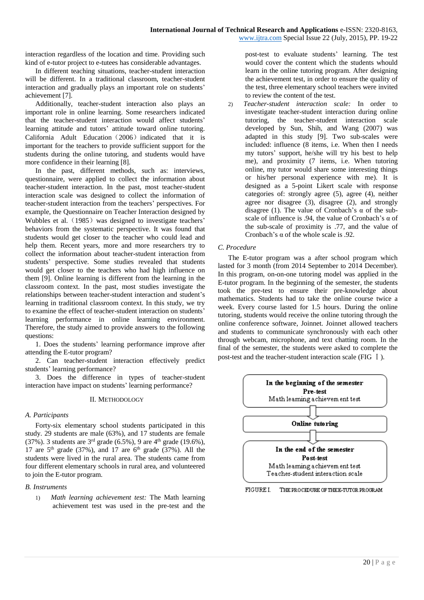interaction regardless of the location and time. Providing such kind of e-tutor project to e-tutees has considerable advantages.

In different teaching situations, teacher-student interaction will be different. In a traditional classroom, teacher-student interaction and gradually plays an important role on students' achievement [7].

Additionally, teacher-student interaction also plays an important role in online learning. Some researchers indicated that the teacher-student interaction would affect students' learning attitude and tutors' attitude toward online tutoring. California Adult Education (2006) indicated that it is important for the teachers to provide sufficient support for the students during the online tutoring, and students would have more confidence in their learning [8].

In the past, different methods, such as: interviews, questionnaire, were applied to collect the information about teacher-student interaction. In the past, most teacher-student interaction scale was designed to collect the information of teacher-student interaction from the teachers' perspectives. For example, the Questionnaire on Teacher Interaction designed by Wubbles et al. (1985) was designed to investigate teachers' behaviors from the systematic perspective. It was found that students would get closer to the teacher who could lead and help them. Recent years, more and more researchers try to collect the information about teacher-student interaction from students' perspective. Some studies revealed that students would get closer to the teachers who had high influence on them [9]. Online learning is different from the learning in the classroom context. In the past, most studies investigate the relationships between teacher-student interaction and student's learning in traditional classroom context. In this study, we try to examine the effect of teacher-student interaction on students' learning performance in online learning environment. Therefore, the study aimed to provide answers to the following questions:

1. Does the students' learning performance improve after attending the E-tutor program?

2. Can teacher-student interaction effectively predict students' learning performance?

3. Does the difference in types of teacher-student interaction have impact on students' learning performance?

# II. METHODOLOGY

# *A. Participants*

Forty-six elementary school students participated in this study. 29 students are male (63%), and 17 students are female (37%). 3 students are  $3<sup>rd</sup>$  grade (6.5%), 9 are  $4<sup>th</sup>$  grade (19.6%), 17 are  $5<sup>th</sup>$  grade (37%), and 17 are  $6<sup>th</sup>$  grade (37%). All the students were lived in the rural area. The students came from four different elementary schools in rural area, and volunteered to join the E-tutor program.

# *B. Instruments*

1) *Math learning achievement test:* The Math learning achievement test was used in the pre-test and the

post-test to evaluate students' learning. The test would cover the content which the students whould learn in the online tutoring program. After designing the achievement test, in order to ensure the quality of the test, three elementary school teachers were invited to review the content of the test.

2) *Teacher-student interaction scale:* In order to investigate teacher-student interaction during online tutoring, the teacher-student interaction scale developed by Sun, Shih, and Wang (2007) was adapted in this study [9]. Two sub-scales were included: influence (8 items, i.e. When then I needs my tutors' support, he/she will try his best to help me), and proximity (7 items, i.e. When tutoring online, my tutor would share some interesting things or his/her personal experience with me). It is designed as a 5-point Likert scale with response categories of: strongly agree (5), agree (4), neither agree nor disagree (3), disagree (2), and strongly disagree (1). The value of Cronbach's  $\alpha$  of the subscale of influence is .94, the value of Cronbach's  $\alpha$  of the sub-scale of proximity is .77, and the value of Cronbach's α of the whole scale is .92.

# *C. Procedure*

The E-tutor program was a after school program which lasted for 3 month (from 2014 September to 2014 December). In this program, on-on-one tutoring model was applied in the E-tutor program. In the beginning of the semester, the students took the pre-test to ensure their pre-knowledge about mathematics. Students had to take the online course twice a week. Every course lasted for 1.5 hours. During the online tutoring, students would receive the online tutoring through the online conference software, Joinnet. Joinnet allowed teachers and students to communicate synchronously with each other through webcam, microphone, and text chatting room. In the final of the semester, the students were asked to complete the post-test and the teacher-student interaction scale (FIG Ⅰ).



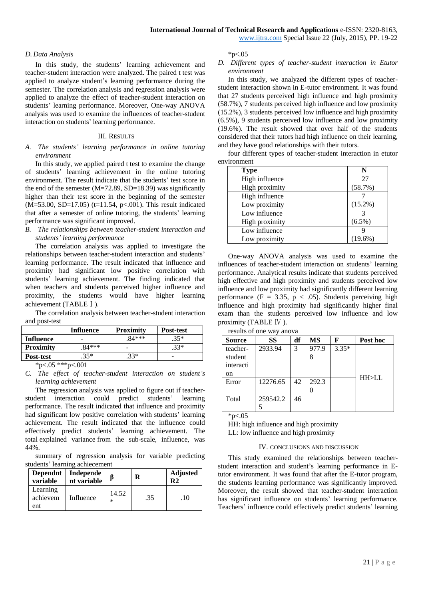[www.ijtra.com](http://www.ijtra.com/) Special Issue 22 (July, 2015), PP. 19-22

## *D. Data Analysis*

In this study, the students' learning achievement and teacher-student interaction were analyzed. The paired t test was applied to analyze student's learning performance during the semester. The correlation analysis and regression analysis were applied to analyze the effect of teacher-student interaction on students' learning performance. Moreover, One-way ANOVA analysis was used to examine the influences of teacher-student interaction on students' learning performance.

## III. RESULTS

## *A. The students' learning performance in online tutoring environment*

In this study, we applied paired t test to examine the change of students' learning achievement in the online tutoring environment. The result indicate that the students' test score in the end of the semester  $(M=72.89, SD=18.39)$  was significantly higher than their test score in the beginning of the semester (M=53.00, SD=17.05) (t=11.54, p<.001). This result indicated that after a semester of online tutoring, the students' learning performance was significant improved.

# *B. The relationships between teacher-student interaction and students' learning performance*

The correlation analysis was applied to investigate the relationships between teacher-student interaction and students' learning performance. The result indicated that influence and proximity had significant low positive correlation with students' learning achievement. The finding indicated that when teachers and students perceived higher influence and proximity, the students would have higher learning achievement (TABLEⅠ).

The correlation analysis between teacher-student interaction and post-test

|                        | Influence | <b>Proximity</b> | Post-test |
|------------------------|-----------|------------------|-----------|
| <b>Influence</b>       |           | $.84***$         | $.35*$    |
| <b>Proximity</b>       | $84***$   |                  | $.33*$    |
| Post-test              | .35*      | $.33*$           |           |
| $*_{n}$ 05 $*_{n}$ 001 |           |                  |           |

\*p<.05 \*\*\*p<.001

*C. The effect of teacher-student interaction on student's learning achievement*

The regression analysis was applied to figure out if teacherstudent interaction could predict students' learning performance. The result indicated that influence and proximity had significant low positive correlation with students' learning achievement. The result indicated that the influence could effectively predict students' learning achievement. The total explained variance from the sub-scale, influence, was 44%.

summary of regression analysis for variable predicting students' learning achiecement

| <b>Dependnt</b><br>variable | Independe<br>nt variable |                 | R   | <b>Adjusted</b><br>R2 |
|-----------------------------|--------------------------|-----------------|-----|-----------------------|
| Learning<br>achievem<br>ent | Influence                | 14.52<br>$\ast$ | .35 | .10                   |

 $*n<.05$ 

## *D. Different types of teacher-student interaction in Etutor environment*

In this study, we analyzed the different types of teacherstudent interaction shown in E-tutor environment. It was found that 27 students perceived high influence and high proximity (58.7%), 7 students perceived high influence and low proximity (15.2%), 3 students perceived low influence and high proximity (6.5%), 9 students perceived low influence and low proximity (19.6%). The result showed that over half of the students considered that their tutors had high influence on their learning, and they have good relationships with their tutors.

four different types of teacher-student interaction in etutor environment

| <b>Type</b>    | N          |
|----------------|------------|
| High influence | 27         |
| High proximity | (58.7%)    |
| High influence |            |
| Low proximity  | $(15.2\%)$ |
| Low influence  |            |
| High proximity | $(6.5\%)$  |
| Low influence  |            |
| Low proximity  | $(19.6\%)$ |

One-way ANOVA analysis was used to examine the influences of teacher-student interaction on students' learning performance. Analytical results indicate that students perceived high effective and high proximity and students perceived low influence and low proximity had significantly different learning performance (F = 3.35,  $p < .05$ ). Students perceiving high influence and high proximity had significantly higher final exam than the students perceived low influence and low proximity (TABLE Ⅳ ).

results of one way anova

| <b>Source</b> | SS       | df | MS    | F       | Post hoc |
|---------------|----------|----|-------|---------|----------|
| teacher-      | 2933.94  | 3  | 977.9 | $3.35*$ |          |
| student       |          |    |       |         |          |
| interacti     |          |    |       |         |          |
| <sub>on</sub> |          |    |       |         |          |
| Error         | 12276.65 | 42 | 292.3 |         | HH>LL    |
|               |          |    |       |         |          |
| Total         | 259542.2 | 46 |       |         |          |
|               |          |    |       |         |          |

 $*p<.05$ 

HH: high influence and high proximity LL: low influence and high proximity

#### IV. CONCLUSIONS AND DISCUSSION

This study examined the relationships between teacherstudent interaction and student's learning performance in Etutor environment. It was found that after the E-tutor program, the students learning performance was significantly improved. Moreover, the result showed that teacher-student interaction has significant influence on students' learning performance. Teachers' influence could effectively predict students' learning